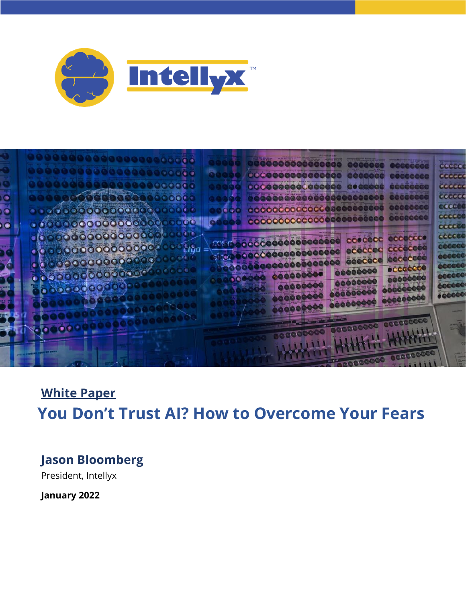



# **White Paper You Don't Trust AI? How to Overcome Your Fears**

## **Jason Bloomberg**

President, Intellyx

**January 2022**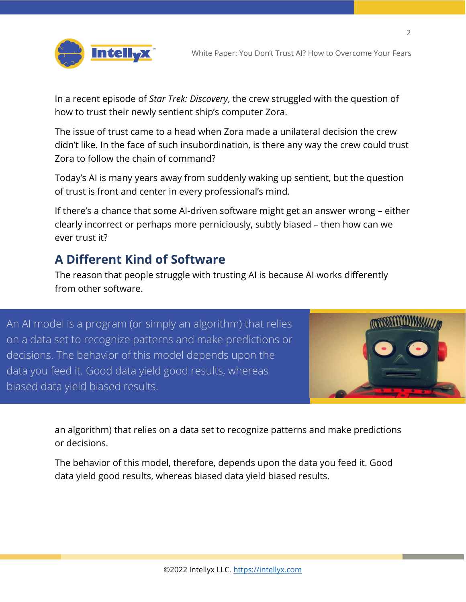



In a recent episode of *Star Trek: Discovery*, the crew struggled with the question of how to trust their newly sentient ship's computer Zora.

The issue of trust came to a head when Zora made a unilateral decision the crew didn't like. In the face of such insubordination, is there any way the crew could trust Zora to follow the chain of command?

Today's AI is many years away from suddenly waking up sentient, but the question of trust is front and center in every professional's mind.

If there's a chance that some AI-driven software might get an answer wrong – either clearly incorrect or perhaps more perniciously, subtly biased – then how can we ever trust it?

### **A Different Kind of Software**

The reason that people struggle with trusting AI is because AI works differently from other software.

An AI model is a program (or simply an algorithm) that relies on a data set to recognize patterns and make predictions or decisions. The behavior of this model depends upon the data you feed it. Good data yield good results, whereas biased data yield biased results.



 $\mathfrak{D}$ 

an algorithm) that relies on a data set to recognize patterns and make predictions or decisions.

The behavior of this model, therefore, depends upon the data you feed it. Good data yield good results, whereas biased data yield biased results.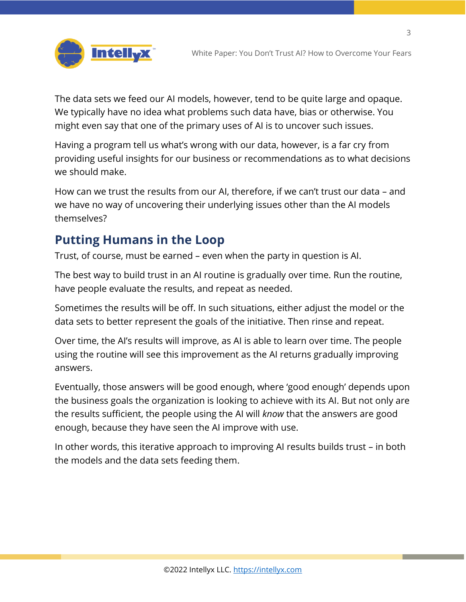3



The data sets we feed our AI models, however, tend to be quite large and opaque. We typically have no idea what problems such data have, bias or otherwise. You might even say that one of the primary uses of AI is to uncover such issues.

Having a program tell us what's wrong with our data, however, is a far cry from providing useful insights for our business or recommendations as to what decisions we should make.

How can we trust the results from our AI, therefore, if we can't trust our data – and we have no way of uncovering their underlying issues other than the AI models themselves?

### **Putting Humans in the Loop**

Trust, of course, must be earned – even when the party in question is AI.

The best way to build trust in an AI routine is gradually over time. Run the routine, have people evaluate the results, and repeat as needed.

Sometimes the results will be off. In such situations, either adjust the model or the data sets to better represent the goals of the initiative. Then rinse and repeat.

Over time, the AI's results will improve, as AI is able to learn over time. The people using the routine will see this improvement as the AI returns gradually improving answers.

Eventually, those answers will be good enough, where 'good enough' depends upon the business goals the organization is looking to achieve with its AI. But not only are the results sufficient, the people using the AI will *know* that the answers are good enough, because they have seen the AI improve with use.

In other words, this iterative approach to improving AI results builds trust – in both the models and the data sets feeding them.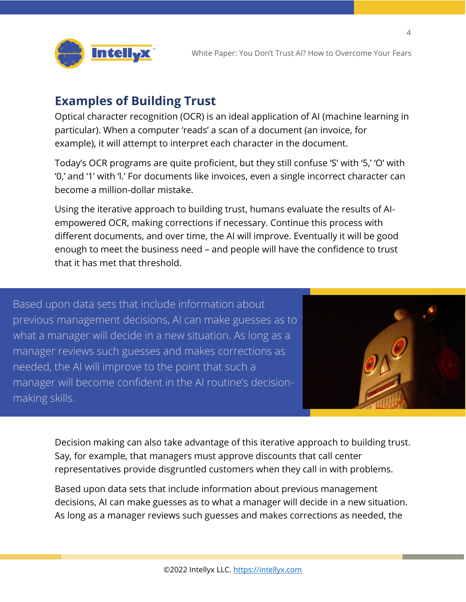

#### **Examples of Building Trust**

Optical character recognition (OCR) is an ideal application of AI (machine learning in particular). When a computer 'reads' a scan of a document (an invoice, for example), it will attempt to interpret each character in the document.

Today's OCR programs are quite proficient, but they still confuse 'S' with '5,' 'O' with '0,' and '1' with 'l.' For documents like invoices, even a single incorrect character can become a million-dollar mistake.

Using the iterative approach to building trust, humans evaluate the results of AIempowered OCR, making corrections if necessary. Continue this process with different documents, and over time, the AI will improve. Eventually it will be good enough to meet the business need – and people will have the confidence to trust that it has met that threshold.

Based upon data sets that include information about previous management decisions, AI can make guesses as to what a manager will decide in a new situation. As long as a manager reviews such guesses and makes corrections as needed, the AI will improve to the point that such a manager will become confident in the AI routine's decisionmaking skills.



 $\overline{\Lambda}$ 

Decision making can also take advantage of this iterative approach to building trust. Say, for example, that managers must approve discounts that call center representatives provide disgruntled customers when they call in with problems.

Based upon data sets that include information about previous management decisions, AI can make guesses as to what a manager will decide in a new situation. As long as a manager reviews such guesses and makes corrections as needed, the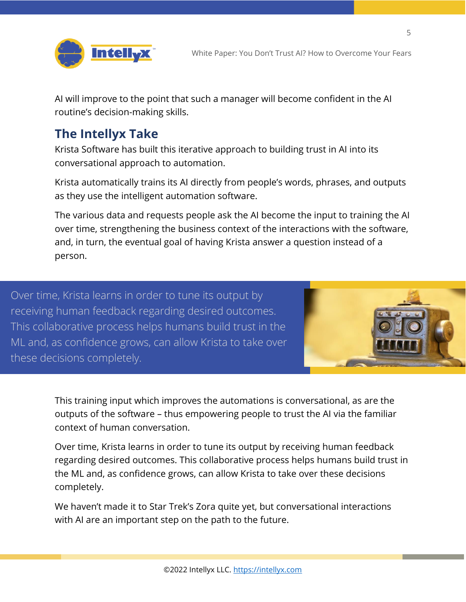

AI will improve to the point that such a manager will become confident in the AI routine's decision-making skills.

#### **The Intellyx Take**

Krista Software has built this iterative approach to building trust in AI into its conversational approach to automation.

Krista automatically trains its AI directly from people's words, phrases, and outputs as they use the intelligent automation software.

The various data and requests people ask the AI become the input to training the AI over time, strengthening the business context of the interactions with the software, and, in turn, the eventual goal of having Krista answer a question instead of a person.

Over time, Krista learns in order to tune its output by receiving human feedback regarding desired outcomes. This collaborative process helps humans build trust in the ML and, as confidence grows, can allow Krista to take over these decisions completely.



5

This training input which improves the automations is conversational, as are the outputs of the software – thus empowering people to trust the AI via the familiar context of human conversation.

Over time, Krista learns in order to tune its output by receiving human feedback regarding desired outcomes. This collaborative process helps humans build trust in the ML and, as confidence grows, can allow Krista to take over these decisions completely.

We haven't made it to Star Trek's Zora quite yet, but conversational interactions with AI are an important step on the path to the future.